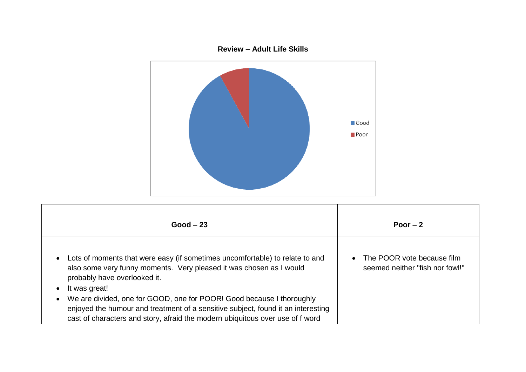## **Review – Adult Life Skills**



| $Good - 23$                                                                                                                                                                                      | Poor $-2$                                                       |
|--------------------------------------------------------------------------------------------------------------------------------------------------------------------------------------------------|-----------------------------------------------------------------|
| Lots of moments that were easy (if sometimes uncomfortable) to relate to and<br>$\bullet$<br>also some very funny moments. Very pleased it was chosen as I would<br>probably have overlooked it. | • The POOR vote because film<br>seemed neither "fish nor fowl!" |
| It was great!<br>We are divided, one for GOOD, one for POOR! Good because I thoroughly<br>$\bullet$                                                                                              |                                                                 |
| enjoyed the humour and treatment of a sensitive subject, found it an interesting<br>cast of characters and story, afraid the modern ubiquitous over use of f word                                |                                                                 |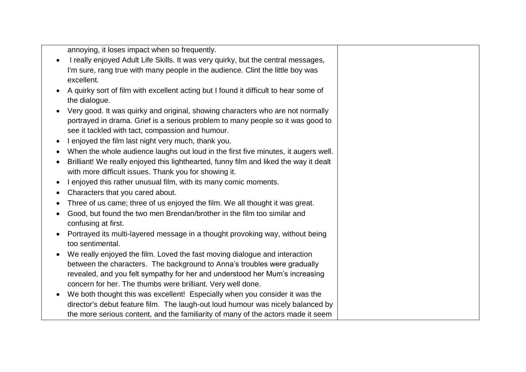annoying, it loses impact when so frequently.

- I really enjoyed Adult Life Skills. It was very quirky, but the central messages, I'm sure, rang true with many people in the audience. Clint the little boy was excellent.
- A quirky sort of film with excellent acting but I found it difficult to hear some of the dialogue.
- Very good. It was quirky and original, showing characters who are not normally portrayed in drama. Grief is a serious problem to many people so it was good to see it tackled with tact, compassion and humour.
- I enjoyed the film last night very much, thank you.
- When the whole audience laughs out loud in the first five minutes, it augers well.
- Brilliant! We really enjoyed this lighthearted, funny film and liked the way it dealt with more difficult issues. Thank you for showing it.
- I enjoyed this rather unusual film, with its many comic moments.
- Characters that you cared about.
- Three of us came; three of us enjoyed the film. We all thought it was great.
- Good, but found the two men Brendan/brother in the film too similar and confusing at first.
- Portrayed its multi-layered message in a thought provoking way, without being too sentimental.
- We really enjoyed the film. Loved the fast moving dialogue and interaction between the characters. The background to Anna's troubles were gradually revealed, and you felt sympathy for her and understood her Mum's increasing concern for her. The thumbs were brilliant. Very well done.
- We both thought this was excellent! Especially when you consider it was the director's debut feature film. The laugh-out loud humour was nicely balanced by the more serious content, and the familiarity of many of the actors made it seem